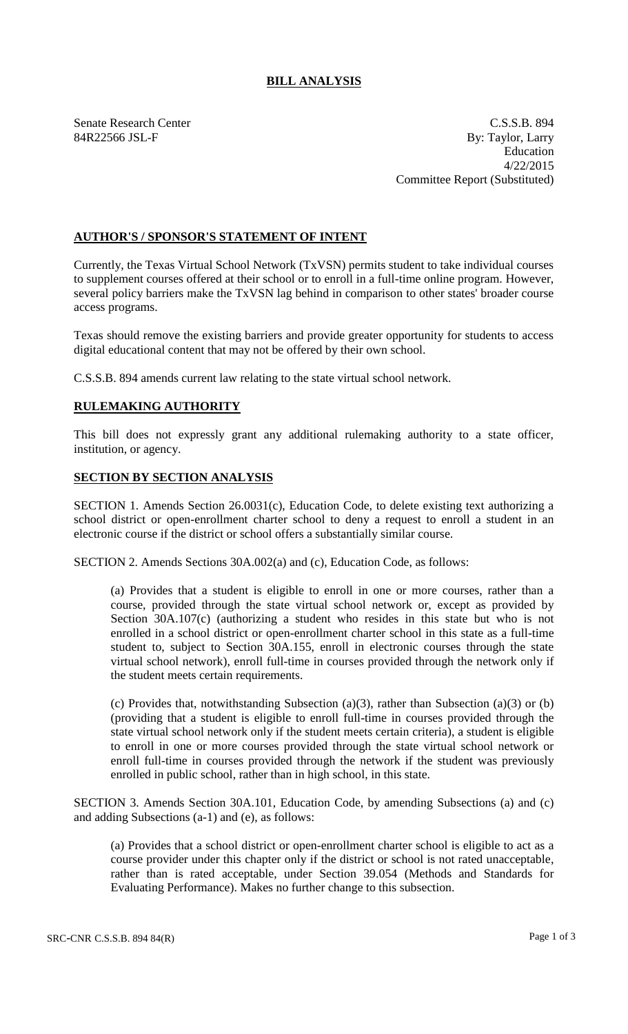## **BILL ANALYSIS**

Senate Research Center C.S.S.B. 894 84R22566 JSL-F By: Taylor, Larry Education 4/22/2015 Committee Report (Substituted)

## **AUTHOR'S / SPONSOR'S STATEMENT OF INTENT**

Currently, the Texas Virtual School Network (TxVSN) permits student to take individual courses to supplement courses offered at their school or to enroll in a full-time online program. However, several policy barriers make the TxVSN lag behind in comparison to other states' broader course access programs.

Texas should remove the existing barriers and provide greater opportunity for students to access digital educational content that may not be offered by their own school.

C.S.S.B. 894 amends current law relating to the state virtual school network.

## **RULEMAKING AUTHORITY**

This bill does not expressly grant any additional rulemaking authority to a state officer, institution, or agency.

## **SECTION BY SECTION ANALYSIS**

SECTION 1. Amends Section 26.0031(c), Education Code, to delete existing text authorizing a school district or open-enrollment charter school to deny a request to enroll a student in an electronic course if the district or school offers a substantially similar course.

SECTION 2. Amends Sections 30A.002(a) and (c), Education Code, as follows:

(a) Provides that a student is eligible to enroll in one or more courses, rather than a course, provided through the state virtual school network or, except as provided by Section 30A.107(c) (authorizing a student who resides in this state but who is not enrolled in a school district or open-enrollment charter school in this state as a full-time student to, subject to Section 30A.155, enroll in electronic courses through the state virtual school network), enroll full-time in courses provided through the network only if the student meets certain requirements.

(c) Provides that, notwithstanding Subsection (a)(3), rather than Subsection (a)(3) or (b) (providing that a student is eligible to enroll full-time in courses provided through the state virtual school network only if the student meets certain criteria), a student is eligible to enroll in one or more courses provided through the state virtual school network or enroll full-time in courses provided through the network if the student was previously enrolled in public school, rather than in high school, in this state.

SECTION 3. Amends Section 30A.101, Education Code, by amending Subsections (a) and (c) and adding Subsections (a-1) and (e), as follows:

(a) Provides that a school district or open-enrollment charter school is eligible to act as a course provider under this chapter only if the district or school is not rated unacceptable, rather than is rated acceptable, under Section 39.054 (Methods and Standards for Evaluating Performance). Makes no further change to this subsection.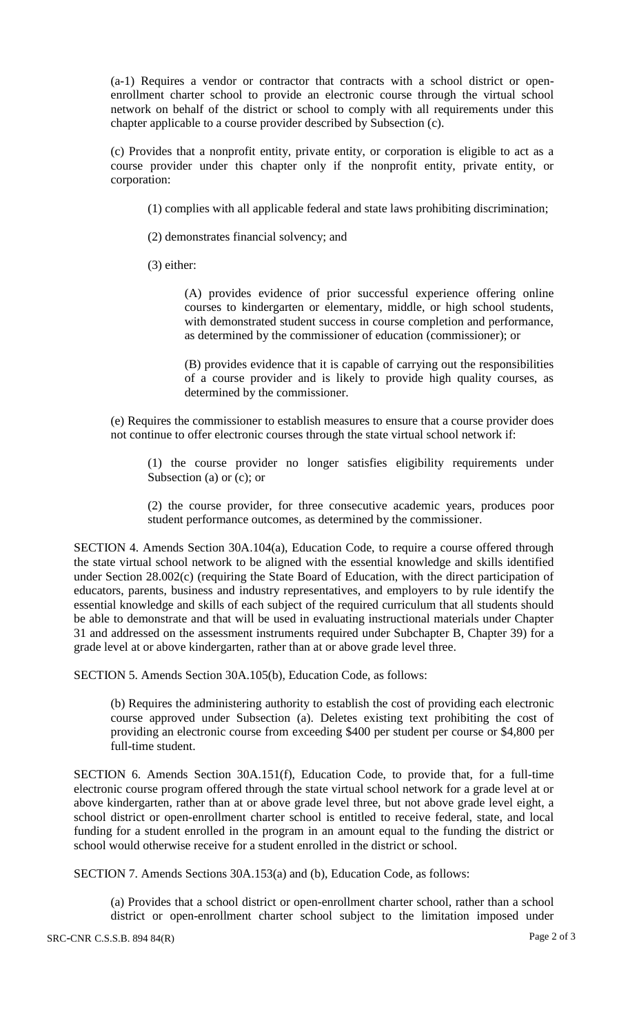(a-1) Requires a vendor or contractor that contracts with a school district or openenrollment charter school to provide an electronic course through the virtual school network on behalf of the district or school to comply with all requirements under this chapter applicable to a course provider described by Subsection (c).

(c) Provides that a nonprofit entity, private entity, or corporation is eligible to act as a course provider under this chapter only if the nonprofit entity, private entity, or corporation:

(1) complies with all applicable federal and state laws prohibiting discrimination;

(2) demonstrates financial solvency; and

(3) either:

(A) provides evidence of prior successful experience offering online courses to kindergarten or elementary, middle, or high school students, with demonstrated student success in course completion and performance, as determined by the commissioner of education (commissioner); or

(B) provides evidence that it is capable of carrying out the responsibilities of a course provider and is likely to provide high quality courses, as determined by the commissioner.

(e) Requires the commissioner to establish measures to ensure that a course provider does not continue to offer electronic courses through the state virtual school network if:

(1) the course provider no longer satisfies eligibility requirements under Subsection (a) or (c); or

(2) the course provider, for three consecutive academic years, produces poor student performance outcomes, as determined by the commissioner.

SECTION 4. Amends Section 30A.104(a), Education Code, to require a course offered through the state virtual school network to be aligned with the essential knowledge and skills identified under Section 28.002(c) (requiring the State Board of Education, with the direct participation of educators, parents, business and industry representatives, and employers to by rule identify the essential knowledge and skills of each subject of the required curriculum that all students should be able to demonstrate and that will be used in evaluating instructional materials under Chapter 31 and addressed on the assessment instruments required under Subchapter B, Chapter 39) for a grade level at or above kindergarten, rather than at or above grade level three.

SECTION 5. Amends Section 30A.105(b), Education Code, as follows:

(b) Requires the administering authority to establish the cost of providing each electronic course approved under Subsection (a). Deletes existing text prohibiting the cost of providing an electronic course from exceeding \$400 per student per course or \$4,800 per full-time student.

SECTION 6. Amends Section 30A.151(f), Education Code, to provide that, for a full-time electronic course program offered through the state virtual school network for a grade level at or above kindergarten, rather than at or above grade level three, but not above grade level eight, a school district or open-enrollment charter school is entitled to receive federal, state, and local funding for a student enrolled in the program in an amount equal to the funding the district or school would otherwise receive for a student enrolled in the district or school.

SECTION 7. Amends Sections 30A.153(a) and (b), Education Code, as follows:

(a) Provides that a school district or open-enrollment charter school, rather than a school district or open-enrollment charter school subject to the limitation imposed under